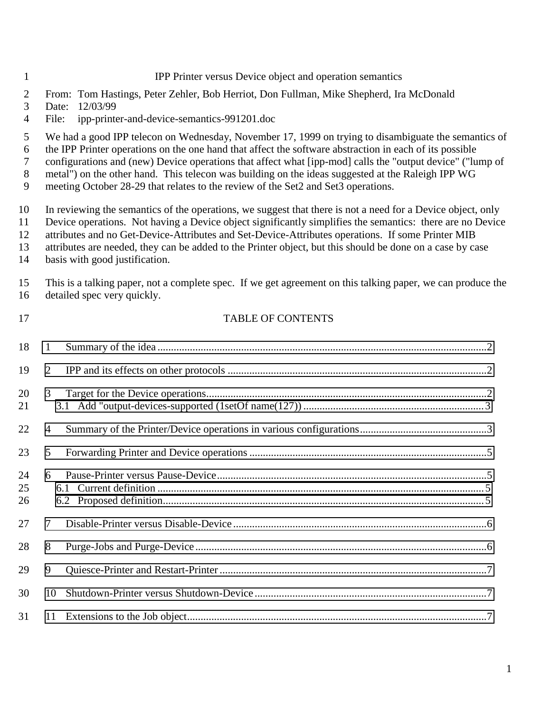#### IPP Printer versus Device object and operation semantics

- From: Tom Hastings, Peter Zehler, Bob Herriot, Don Fullman, Mike Shepherd, Ira McDonald
- Date: 12/03/99
- File: ipp-printer-and-device-semantics-991201.doc

We had a good IPP telecon on Wednesday, November 17, 1999 on trying to disambiguate the semantics of

the IPP Printer operations on the one hand that affect the software abstraction in each of its possible

configurations and (new) Device operations that affect what [ipp-mod] calls the "output device" ("lump of

metal") on the other hand. This telecon was building on the ideas suggested at the Raleigh IPP WG

meeting October 28-29 that relates to the review of the Set2 and Set3 operations.

In reviewing the semantics of the operations, we suggest that there is not a need for a Device object, only

Device operations. Not having a Device object significantly simplifies the semantics: there are no Device

attributes and no Get-Device-Attributes and Set-Device-Attributes operations. If some Printer MIB

- attributes are needed, they can be added to the Printer object, but this should be done on a case by case
- basis with good justification.

 This is a talking paper, not a complete spec. If we get agreement on this talking paper, we can produce the detailed spec very quickly.

#### TABLE OF CONTENTS

| 18             | $\mathbf{1}$ |  |
|----------------|--------------|--|
| 19             | 2            |  |
| 20<br>21       | 3            |  |
| 22             | 4            |  |
| 23             | 5            |  |
| 24<br>25<br>26 | 6            |  |
| 27             | 7            |  |
| 28             | 8            |  |
| 29             | 9            |  |
| 30             | 10           |  |
| 31             | 11           |  |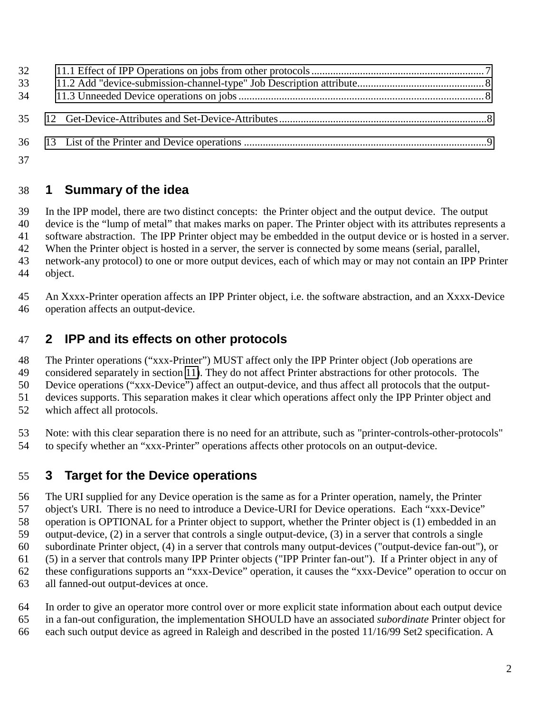<span id="page-1-0"></span>

### **1 Summary of the idea**

 In the IPP model, there are two distinct concepts: the Printer object and the output device. The output device is the "lump of metal" that makes marks on paper. The Printer object with its attributes represents a software abstraction. The IPP Printer object may be embedded in the output device or is hosted in a server. 42 When the Printer object is hosted in a server, the server is connected by some means (serial, parallel, network-any protocol) to one or more output devices, each of which may or may not contain an IPP Printer object.

 An Xxxx-Printer operation affects an IPP Printer object, i.e. the software abstraction, and an Xxxx-Device operation affects an output-device.

### **2 IPP and its effects on other protocols**

The Printer operations ("xxx-Printer") MUST affect only the IPP Printer object (Job operations are

considered separately in section [11\)](#page-6-0). They do not affect Printer abstractions for other protocols. The

Device operations ("xxx-Device") affect an output-device, and thus affect all protocols that the output-

devices supports. This separation makes it clear which operations affect only the IPP Printer object and

which affect all protocols.

Note: with this clear separation there is no need for an attribute, such as "printer-controls-other-protocols"

to specify whether an "xxx-Printer" operations affects other protocols on an output-device.

### **3 Target for the Device operations**

 The URI supplied for any Device operation is the same as for a Printer operation, namely, the Printer object's URI. There is no need to introduce a Device-URI for Device operations. Each "xxx-Device" operation is OPTIONAL for a Printer object to support, whether the Printer object is (1) embedded in an output-device, (2) in a server that controls a single output-device, (3) in a server that controls a single subordinate Printer object, (4) in a server that controls many output-devices ("output-device fan-out"), or (5) in a server that controls many IPP Printer objects ("IPP Printer fan-out"). If a Printer object in any of these configurations supports an "xxx-Device" operation, it causes the "xxx-Device" operation to occur on all fanned-out output-devices at once.

In order to give an operator more control over or more explicit state information about each output device

- in a fan-out configuration, the implementation SHOULD have an associated *subordinate* Printer object for
- each such output device as agreed in Raleigh and described in the posted 11/16/99 Set2 specification. A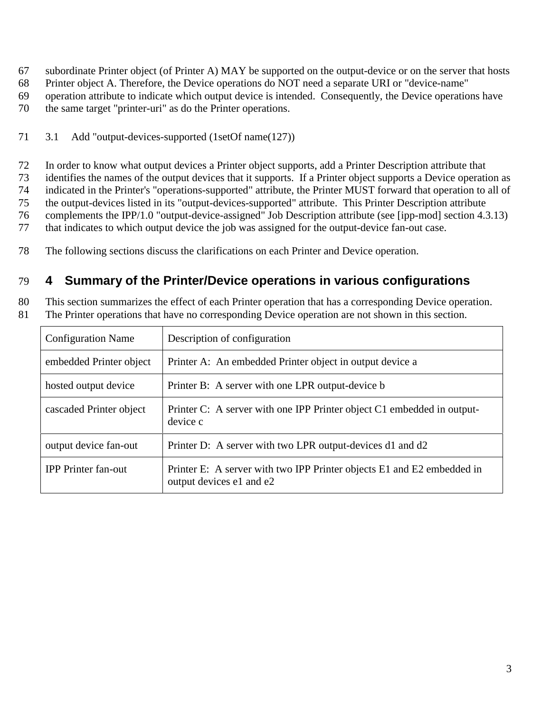<span id="page-2-0"></span>subordinate Printer object (of Printer A) MAY be supported on the output-device or on the server that hosts

Printer object A. Therefore, the Device operations do NOT need a separate URI or "device-name"

operation attribute to indicate which output device is intended. Consequently, the Device operations have

- the same target "printer-uri" as do the Printer operations.
- 3.1 Add "output-devices-supported (1setOf name(127))

 In order to know what output devices a Printer object supports, add a Printer Description attribute that identifies the names of the output devices that it supports. If a Printer object supports a Device operation as indicated in the Printer's "operations-supported" attribute, the Printer MUST forward that operation to all of the output-devices listed in its "output-devices-supported" attribute. This Printer Description attribute complements the IPP/1.0 "output-device-assigned" Job Description attribute (see [ipp-mod] section 4.3.13) that indicates to which output device the job was assigned for the output-device fan-out case.

The following sections discuss the clarifications on each Printer and Device operation.

### **4 Summary of the Printer/Device operations in various configurations**

This section summarizes the effect of each Printer operation that has a corresponding Device operation.

The Printer operations that have no corresponding Device operation are not shown in this section.

| <b>Configuration Name</b>  | Description of configuration                                                                       |  |  |  |
|----------------------------|----------------------------------------------------------------------------------------------------|--|--|--|
| embedded Printer object    | Printer A: An embedded Printer object in output device a                                           |  |  |  |
| hosted output device       | Printer B: A server with one LPR output-device b                                                   |  |  |  |
| cascaded Printer object    | Printer C: A server with one IPP Printer object C1 embedded in output-<br>device c                 |  |  |  |
| output device fan-out      | Printer D: A server with two LPR output-devices d1 and d2                                          |  |  |  |
| <b>IPP</b> Printer fan-out | Printer E: A server with two IPP Printer objects E1 and E2 embedded in<br>output devices e1 and e2 |  |  |  |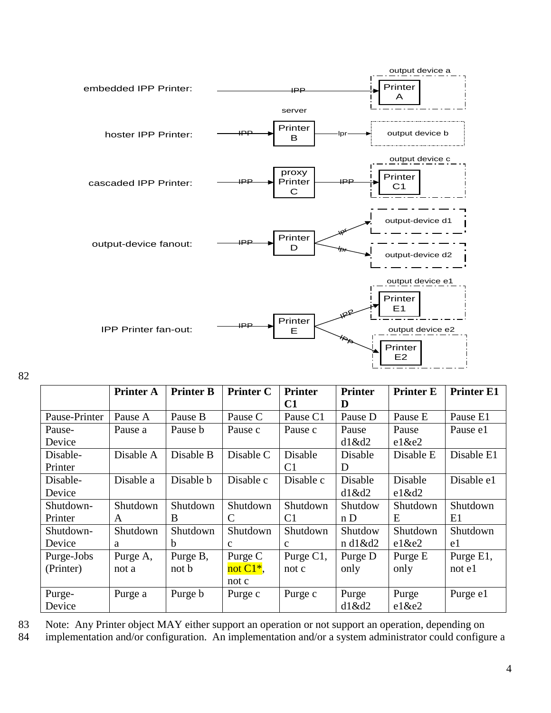

82

|               | <b>Printer A</b> | <b>Printer B</b> | <b>Printer C</b> | <b>Printer</b> | <b>Printer</b> | <b>Printer E</b> | <b>Printer E1</b>    |
|---------------|------------------|------------------|------------------|----------------|----------------|------------------|----------------------|
|               |                  |                  |                  | C1             | D              |                  |                      |
| Pause-Printer | Pause A          | Pause B          | Pause C          | Pause C1       | Pause D        | Pause E          | Pause E1             |
| Pause-        | Pause a          | Pause b          | Pause c          | Pause c        | Pause          | Pause            | Pause e1             |
| Device        |                  |                  |                  |                | $d1\&d2$       | $el$ &e2         |                      |
| Disable-      | Disable A        | Disable B        | Disable C        | Disable        | Disable        | Disable E        | Disable E1           |
| Printer       |                  |                  |                  | C <sub>1</sub> | D              |                  |                      |
| Disable-      | Disable a        | Disable b        | Disable c        | Disable c      | Disable        | Disable          | Disable e1           |
| Device        |                  |                  |                  |                | $d1\&d2$       | $el\&d2$         |                      |
| Shutdown-     | Shutdown         | Shutdown         | Shutdown         | Shutdown       | Shutdow        | Shutdown         | Shutdown             |
| Printer       | A                | B                | C                | C <sub>1</sub> | n D            | E                | E1                   |
| Shutdown-     | Shutdown         | Shutdown         | Shutdown         | Shutdown       | Shutdow        | Shutdown         | Shutdown             |
| Device        | a                | b                | $\mathbf{c}$     | $\mathbf{C}$   | n d1&d2        | $el$ &e2         | e1                   |
| Purge-Jobs    | Purge A,         | Purge B,         | Purge C          | Purge C1,      | Purge D        | Purge E          | Purge E1,            |
| (Printer)     | not a            | not b            | not $C1^*$ ,     | not c          | only           | only             | $not \in \mathbb{R}$ |
|               |                  |                  | not c            |                |                |                  |                      |
| Purge-        | Purge a          | Purge b          | Purge c          | Purge c        | Purge          | Purge            | Purge e1             |
| Device        |                  |                  |                  |                | d1&d2          | $el$ &e2         |                      |

83 Note: Any Printer object MAY either support an operation or not support an operation, depending on

84 implementation and/or configuration. An implementation and/or a system administrator could configure a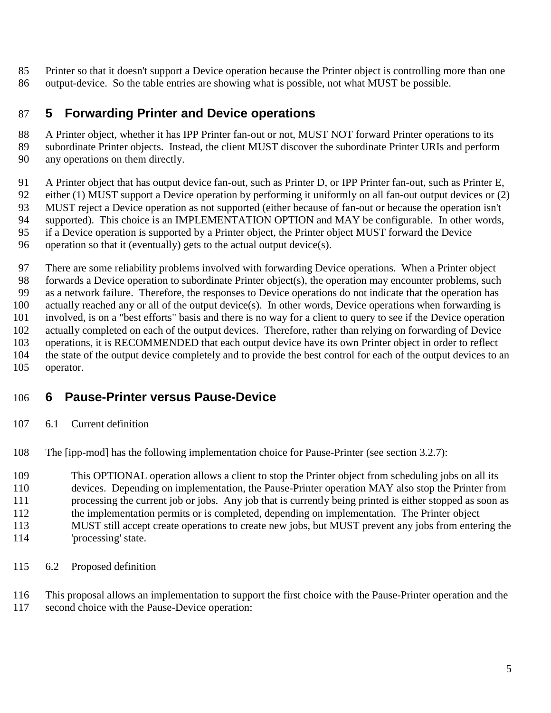<span id="page-4-0"></span> Printer so that it doesn't support a Device operation because the Printer object is controlling more than one output-device. So the table entries are showing what is possible, not what MUST be possible.

### **5 Forwarding Printer and Device operations**

88 A Printer object, whether it has IPP Printer fan-out or not, MUST NOT forward Printer operations to its subordinate Printer objects. Instead, the client MUST discover the subordinate Printer URIs and perform any operations on them directly.

91 A Printer object that has output device fan-out, such as Printer D, or IPP Printer fan-out, such as Printer E, either (1) MUST support a Device operation by performing it uniformly on all fan-out output devices or (2) MUST reject a Device operation as not supported (either because of fan-out or because the operation isn't supported). This choice is an IMPLEMENTATION OPTION and MAY be configurable. In other words, if a Device operation is supported by a Printer object, the Printer object MUST forward the Device operation so that it (eventually) gets to the actual output device(s).

 There are some reliability problems involved with forwarding Device operations. When a Printer object forwards a Device operation to subordinate Printer object(s), the operation may encounter problems, such as a network failure. Therefore, the responses to Device operations do not indicate that the operation has actually reached any or all of the output device(s). In other words, Device operations when forwarding is involved, is on a "best efforts" basis and there is no way for a client to query to see if the Device operation actually completed on each of the output devices. Therefore, rather than relying on forwarding of Device operations, it is RECOMMENDED that each output device have its own Printer object in order to reflect the state of the output device completely and to provide the best control for each of the output devices to an operator.

### **6 Pause-Printer versus Pause-Device**

6.1 Current definition

The [ipp-mod] has the following implementation choice for Pause-Printer (see section 3.2.7):

This OPTIONAL operation allows a client to stop the Printer object from scheduling jobs on all its

devices. Depending on implementation, the Pause-Printer operation MAY also stop the Printer from

processing the current job or jobs. Any job that is currently being printed is either stopped as soon as

the implementation permits or is completed, depending on implementation. The Printer object

- MUST still accept create operations to create new jobs, but MUST prevent any jobs from entering the
- 'processing' state.
- 6.2 Proposed definition

This proposal allows an implementation to support the first choice with the Pause-Printer operation and the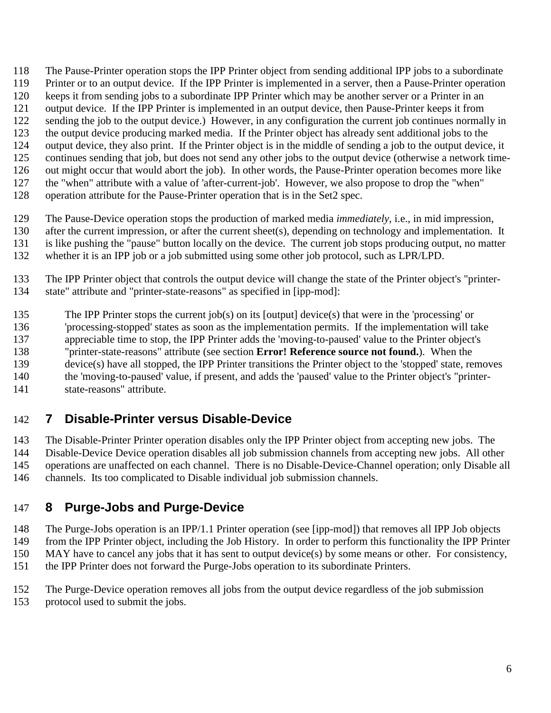<span id="page-5-0"></span>The Pause-Printer operation stops the IPP Printer object from sending additional IPP jobs to a subordinate

- Printer or to an output device. If the IPP Printer is implemented in a server, then a Pause-Printer operation
- keeps it from sending jobs to a subordinate IPP Printer which may be another server or a Printer in an
- output device. If the IPP Printer is implemented in an output device, then Pause-Printer keeps it from
- 122 sending the job to the output device.) However, in any configuration the current job continues normally in
- the output device producing marked media. If the Printer object has already sent additional jobs to the output device, they also print. If the Printer object is in the middle of sending a job to the output device, it
- continues sending that job, but does not send any other jobs to the output device (otherwise a network time-
- out might occur that would abort the job). In other words, the Pause-Printer operation becomes more like
- the "when" attribute with a value of 'after-current-job'. However, we also propose to drop the "when"
- operation attribute for the Pause-Printer operation that is in the Set2 spec.

 The Pause-Device operation stops the production of marked media *immediately*, i.e., in mid impression, after the current impression, or after the current sheet(s), depending on technology and implementation. It

- is like pushing the "pause" button locally on the device. The current job stops producing output, no matter
- whether it is an IPP job or a job submitted using some other job protocol, such as LPR/LPD.

 The IPP Printer object that controls the output device will change the state of the Printer object's "printer-state" attribute and "printer-state-reasons" as specified in [ipp-mod]:

- The IPP Printer stops the current job(s) on its [output] device(s) that were in the 'processing' or
- 'processing-stopped' states as soon as the implementation permits. If the implementation will take
- appreciable time to stop, the IPP Printer adds the 'moving-to-paused' value to the Printer object's
- "printer-state-reasons" attribute (see section **Error! Reference source not found.**). When the
- device(s) have all stopped, the IPP Printer transitions the Printer object to the 'stopped' state, removes the 'moving-to-paused' value, if present, and adds the 'paused' value to the Printer object's "printer-
- state-reasons" attribute.

## **7 Disable-Printer versus Disable-Device**

 The Disable-Printer Printer operation disables only the IPP Printer object from accepting new jobs. The Disable-Device Device operation disables all job submission channels from accepting new jobs. All other operations are unaffected on each channel. There is no Disable-Device-Channel operation; only Disable all channels. Its too complicated to Disable individual job submission channels.

## **8 Purge-Jobs and Purge-Device**

The Purge-Jobs operation is an IPP/1.1 Printer operation (see [ipp-mod]) that removes all IPP Job objects

 from the IPP Printer object, including the Job History. In order to perform this functionality the IPP Printer MAY have to cancel any jobs that it has sent to output device(s) by some means or other. For consistency,

- the IPP Printer does not forward the Purge-Jobs operation to its subordinate Printers.
- The Purge-Device operation removes all jobs from the output device regardless of the job submission
- protocol used to submit the jobs.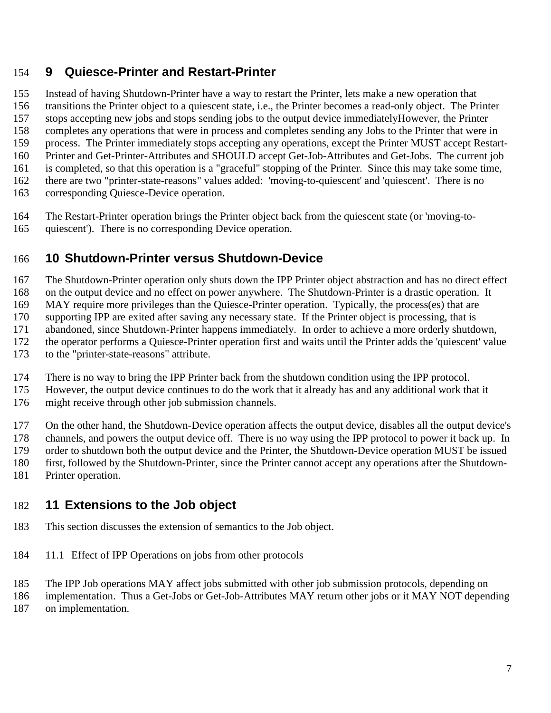### <span id="page-6-0"></span>**9 Quiesce-Printer and Restart-Printer**

 Instead of having Shutdown-Printer have a way to restart the Printer, lets make a new operation that transitions the Printer object to a quiescent state, i.e., the Printer becomes a read-only object. The Printer stops accepting new jobs and stops sending jobs to the output device immediatelyHowever, the Printer completes any operations that were in process and completes sending any Jobs to the Printer that were in process. The Printer immediately stops accepting any operations, except the Printer MUST accept Restart- Printer and Get-Printer-Attributes and SHOULD accept Get-Job-Attributes and Get-Jobs. The current job is completed, so that this operation is a "graceful" stopping of the Printer. Since this may take some time, there are two "printer-state-reasons" values added: 'moving-to-quiescent' and 'quiescent'. There is no corresponding Quiesce-Device operation.

- The Restart-Printer operation brings the Printer object back from the quiescent state (or 'moving-to-
- quiescent'). There is no corresponding Device operation.

### **10 Shutdown-Printer versus Shutdown-Device**

 The Shutdown-Printer operation only shuts down the IPP Printer object abstraction and has no direct effect on the output device and no effect on power anywhere. The Shutdown-Printer is a drastic operation. It

MAY require more privileges than the Quiesce-Printer operation. Typically, the process(es) that are

supporting IPP are exited after saving any necessary state. If the Printer object is processing, that is

abandoned, since Shutdown-Printer happens immediately. In order to achieve a more orderly shutdown,

the operator performs a Quiesce-Printer operation first and waits until the Printer adds the 'quiescent' value

to the "printer-state-reasons" attribute.

There is no way to bring the IPP Printer back from the shutdown condition using the IPP protocol.

However, the output device continues to do the work that it already has and any additional work that it

might receive through other job submission channels.

On the other hand, the Shutdown-Device operation affects the output device, disables all the output device's

 channels, and powers the output device off. There is no way using the IPP protocol to power it back up. In order to shutdown both the output device and the Printer, the Shutdown-Device operation MUST be issued

first, followed by the Shutdown-Printer, since the Printer cannot accept any operations after the Shutdown-

Printer operation.

### **11 Extensions to the Job object**

- This section discusses the extension of semantics to the Job object.
- 11.1 Effect of IPP Operations on jobs from other protocols

The IPP Job operations MAY affect jobs submitted with other job submission protocols, depending on

implementation. Thus a Get-Jobs or Get-Job-Attributes MAY return other jobs or it MAY NOT depending

on implementation.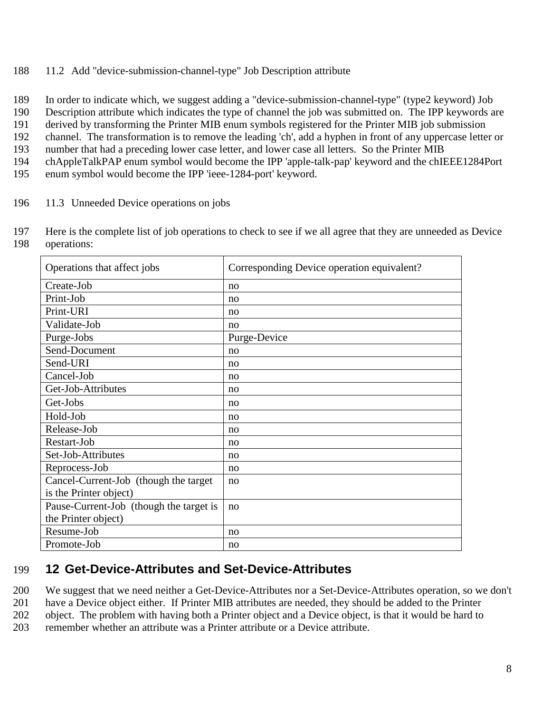<span id="page-7-0"></span>188 11.2 Add "device-submission-channel-type" Job Description attribute

189 In order to indicate which, we suggest adding a "device-submission-channel-type" (type2 keyword) Job

190 Description attribute which indicates the type of channel the job was submitted on. The IPP keywords are

191 derived by transforming the Printer MIB enum symbols registered for the Printer MIB job submission

192 channel. The transformation is to remove the leading 'ch', add a hyphen in front of any uppercase letter or

193 number that had a preceding lower case letter, and lower case all letters. So the Printer MIB

194 chAppleTalkPAP enum symbol would become the IPP 'apple-talk-pap' keyword and the chIEEE1284Port

195 enum symbol would become the IPP 'ieee-1284-port' keyword.

- 196 11.3 Unneeded Device operations on jobs
- 197 Here is the complete list of job operations to check to see if we all agree that they are unneeded as Device 198 operations:

| Operations that affect jobs             | Corresponding Device operation equivalent? |  |  |  |
|-----------------------------------------|--------------------------------------------|--|--|--|
| Create-Job                              | no                                         |  |  |  |
| Print-Job                               | no                                         |  |  |  |
| Print-URI                               | no                                         |  |  |  |
| Validate-Job                            | no                                         |  |  |  |
| Purge-Jobs                              | Purge-Device                               |  |  |  |
| Send-Document                           | no                                         |  |  |  |
| Send-URI                                | no                                         |  |  |  |
| Cancel-Job                              | no                                         |  |  |  |
| Get-Job-Attributes                      | no                                         |  |  |  |
| Get-Jobs                                | no                                         |  |  |  |
| Hold-Job                                | no                                         |  |  |  |
| Release-Job                             | no                                         |  |  |  |
| Restart-Job                             | no                                         |  |  |  |
| Set-Job-Attributes                      | no                                         |  |  |  |
| Reprocess-Job                           | no                                         |  |  |  |
| Cancel-Current-Job (though the target   | no                                         |  |  |  |
| is the Printer object)                  |                                            |  |  |  |
| Pause-Current-Job (though the target is | no                                         |  |  |  |
| the Printer object)                     |                                            |  |  |  |
| Resume-Job                              | no                                         |  |  |  |
| Promote-Job                             | no                                         |  |  |  |

### 199 **12 Get-Device-Attributes and Set-Device-Attributes**

200 We suggest that we need neither a Get-Device-Attributes nor a Set-Device-Attributes operation, so we don't

201 have a Device object either. If Printer MIB attributes are needed, they should be added to the Printer

202 object. The problem with having both a Printer object and a Device object, is that it would be hard to

203 remember whether an attribute was a Printer attribute or a Device attribute.